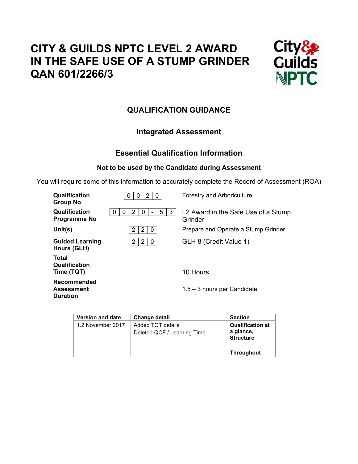# **CITY & GUILDS NPTC LEVEL 2 AWARD IN THE SAFE USE OF A STUMP GRINDER QAN 601/2266/3**



# **QUALIFICATION GUIDANCE**

# **Integrated Assessment**

# **Essential Qualification Information**

# **Not to be used by the Candidate during Assessment**

You will require some of this information to accurately complete the Record of Assessment (ROA)

| Qualification<br><b>Group No</b>                    | 2<br>0<br>$\Omega$<br>0    | <b>Forestry and Arboriculture</b>              |
|-----------------------------------------------------|----------------------------|------------------------------------------------|
| Qualification<br><b>Programme No</b>                | 5<br>2<br>3<br>0<br>0<br>O | L2 Award in the Safe Use of a Stump<br>Grinder |
| Unit(s)                                             | 2<br>2<br>0                | Prepare and Operate a Stump Grinder            |
| <b>Guided Learning</b><br>Hours (GLH)               | 2<br>2<br>0                | GLH 8 (Credit Value 1)                         |
| Total<br>Qualification<br>Time (TQT)                |                            | 10 Hours                                       |
| Recommended<br><b>Assessment</b><br><b>Duration</b> |                            | $1.5 - 3$ hours per Candidate                  |

| <b>Version and date</b> | <b>Change detail</b>        | <b>Section</b>                |
|-------------------------|-----------------------------|-------------------------------|
| 1.2 November 2017       | Added TQT details           | <b>Qualification at</b>       |
|                         | Deleted QCF / Learning Time | a glance,<br><b>Structure</b> |
|                         |                             | <b>Throughout</b>             |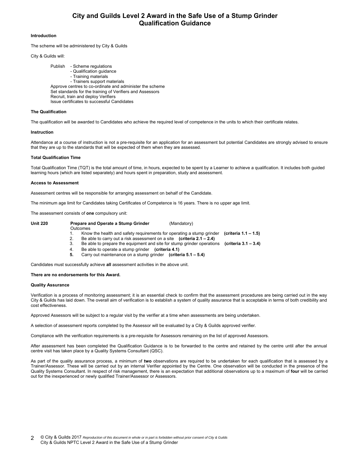# **City and Guilds Level 2 Award in the Safe Use of a Stump Grinder Qualification Guidance**

### **Introduction**

The scheme will be administered by City & Guilds

#### City & Guilds will:

 Publish - Scheme regulations - Qualification guidance - Training materials - Trainers support materials Approve centres to co-ordinate and administer the scheme Set standards for the training of Verifiers and Assessors Recruit, train and deploy Verifiers Issue certificates to successful Candidates

#### **The Qualification**

The qualification will be awarded to Candidates who achieve the required level of competence in the units to which their certificate relates.

#### **Instruction**

Attendance at a course of instruction is not a pre-requisite for an application for an assessment but potential Candidates are strongly advised to ensure that they are up to the standards that will be expected of them when they are assessed.

#### **Total Qualification Time**

Total Qualification Time (TQT) is the total amount of time, in hours, expected to be spent by a Learner to achieve a qualification. It includes both guided learning hours (which are listed separately) and hours spent in preparation, study and assessment.

#### **Access to Assessment**

Assessment centres will be responsible for arranging assessment on behalf of the Candidate.

The minimum age limit for Candidates taking Certificates of Competence is 16 years. There is no upper age limit.

The assessment consists of **one** compulsory unit:

| <b>Unit 220</b> | Prepare and Operate a Stump Grinder<br>(Mandatory)                       |                      |
|-----------------|--------------------------------------------------------------------------|----------------------|
|                 | Outcomes                                                                 |                      |
|                 | Know the health and safety requirements for operating a stump grinder    | (criteria 1.1 – 1.5) |
|                 | Be able to carry out a risk assessment on a site (criteria $2.1 - 2.4$ ) |                      |
|                 | Be able to prepare the equipment and site for stump grinder operations   | (criteria 3.1 – 3.4) |
|                 |                                                                          |                      |

- 4. Be able to operate a stump grinder **(criteria 4.1)**
- **5.** Carry out maintenance on a stump grinder **(criteria 5.1 5.4)**

Candidates must successfully achieve **all** assessment activities in the above unit.

#### **There are no endorsements for this Award.**

#### **Quality Assurance**

Verification is a process of monitoring assessment; it is an essential check to confirm that the assessment procedures are being carried out in the way City & Guilds has laid down. The overall aim of verification is to establish a system of quality assurance that is acceptable in terms of both credibility and cost effectiveness.

Approved Assessors will be subject to a regular visit by the verifier at a time when assessments are being undertaken.

A selection of assessment reports completed by the Assessor will be evaluated by a City & Guilds approved verifier.

Compliance with the verification requirements is a pre-requisite for Assessors remaining on the list of approved Assessors.

After assessment has been completed the Qualification Guidance is to be forwarded to the centre and retained by the centre until after the annual centre visit has taken place by a Quality Systems Consultant (QSC).

As part of the quality assurance process, a minimum of **two** observations are required to be undertaken for each qualification that is assessed by a Trainer/Assessor. These will be carried out by an internal Verifier appointed by the Centre. One observation will be conducted in the presence of the Quality Systems Consultant. In respect of risk management, there is an expectation that additional observations up to a maximum of **four** will be carried out for the inexperienced or newly qualified Trainer/Assessor or Assessors.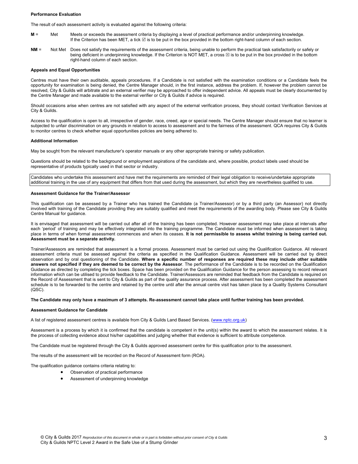#### **Performance Evaluation**

The result of each assessment activity is evaluated against the following criteria:

- **M** = Met Meets or exceeds the assessment criteria by displaying a level of practical performance and/or underpinning knowledge. If the Criterion has been MET, a tick  $\boxtimes$  is to be put in the box provided in the bottom right-hand column of each section.
- **NM** = Not Met Does not satisfy the requirements of the assessment criteria, being unable to perform the practical task satisfactorily or safely or being deficient in underpinning knowledge. If the Criterion is NOT MET, a cross  $\boxtimes$  is to be put in the box provided in the bottom right-hand column of each section.

### **Appeals and Equal Opportunities**

Centres must have their own auditable, appeals procedures. If a Candidate is not satisfied with the examination conditions or a Candidate feels the opportunity for examination is being denied, the Centre Manager should, in the first instance, address the problem. If, however the problem cannot be resolved, City & Guilds will arbitrate and an external verifier may be approached to offer independent advice. All appeals must be clearly documented by the Centre Manager and made available to the external verifier or City & Guilds if advice is required.

Should occasions arise when centres are not satisfied with any aspect of the external verification process, they should contact Verification Services at City & Guilds.

Access to the qualification is open to all, irrespective of gender, race, creed, age or special needs. The Centre Manager should ensure that no learner is subjected to unfair discrimination on any grounds in relation to access to assessment and to the fairness of the assessment. QCA requires City & Guilds to monitor centres to check whether equal opportunities policies are being adhered to.

### **Additional Information**

May be sought from the relevant manufacturer's operator manuals or any other appropriate training or safety publication.

Questions should be related to the background or employment aspirations of the candidate and, where possible, product labels used should be representative of products typically used in that sector or industry.

Candidates who undertake this assessment and have met the requirements are reminded of their legal obligation to receive/undertake appropriate additional training in the use of any equipment that differs from that used during the assessment, but which they are nevertheless qualified to use.

### **Assessment Guidance for the Trainer/Assessor**

This qualification can be assessed by a Trainer who has trained the Candidate (a Trainer/Assessor) or by a third party (an Assessor) not directly involved with training of the Candidate providing they are suitably qualified and meet the requirements of the awarding body. Please see City & Guilds Centre Manual for guidance.

It is envisaged that assessment will be carried out after all of the training has been completed. However assessment may take place at intervals after each 'period' of training and may be effectively integrated into the training programme. The Candidate must be informed when assessment is taking place in terms of when formal assessment commences and when its ceases. **It is not permissible to assess whilst training is being carried out. Assessment must be a separate activity.** 

Trainer/Assessors are reminded that assessment is a formal process. Assessment must be carried out using the Qualification Guidance. All relevant assessment criteria must be assessed against the criteria as specified in the Qualification Guidance. Assessment will be carried out by direct observation and by oral questioning of the Candidate. **Where a specific number of responses are required these may include other suitable answers not specified if they are deemed to be correct by the Assessor**. The performance of the Candidate is to be recorded on the Qualification Guidance as directed by completing the tick boxes. Space has been provided on the Qualification Guidance for the person assessing to record relevant information which can be utilised to provide feedback to the Candidate. Trainer/Assessors are reminded that feedback from the Candidate is required on the Record of Assessment that is sent to City & Guilds as part of the quality assurance process. After assessment has been completed the assessment schedule is to be forwarded to the centre and retained by the centre until after the annual centre visit has taken place by a Quality Systems Consultant  $(OSC)$ 

# **The Candidate may only have a maximum of 3 attempts. Re-assessment cannot take place until further training has been provided.**

# **Assessment Guidance for Candidate**

A list of registered assessment centres is available from City & Guilds Land Based Services. (www.nptc.org.uk)

Assessment is a process by which it is confirmed that the candidate is competent in the unit(s) within the award to which the assessment relates. It is the process of collecting evidence about his/her capabilities and judging whether that evidence is sufficient to attribute competence.

The Candidate must be registered through the City & Guilds approved assessment centre for this qualification prior to the assessment.

The results of the assessment will be recorded on the Record of Assessment form (ROA).

The qualification guidance contains criteria relating to:

- Observation of practical performance
- Assessment of underpinning knowledge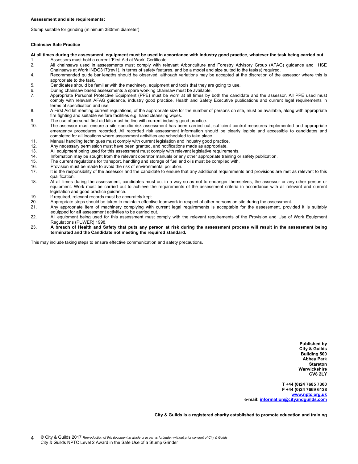Stump suitable for grinding (minimum 380mm diameter)

#### **Chainsaw Safe Practice**

**At all times during the assessment, equipment must be used in accordance with industry good practice, whatever the task being carried out.** 

- 
- 1. Assessors must hold a current 'First Aid at Work' Certificate.<br>2. All chainsaws used in assessments must comply with rel 2. All chainsaws used in assessments must comply with relevant Arboriculture and Forestry Advisory Group (AFAG) guidance and HSE Chainsaws at Work INDG317(rev1), in terms of safety features, and be a model and size suited to the task(s) required.
- 4. Recommended guide bar lengths should be observed, although variations may be accepted at the discretion of the assessor where this is appropriate to the task.
- 5. Candidates should be familiar with the machinery, equipment and tools that they are going to use.
- 6. During chainsaw based assessments a spare working chainsaw must be available.
- 7. Appropriate Personal Protective Equipment (PPE) must be worn at all times by both the candidate and the assessor. All PPE used must comply with relevant AFAG guidance, industry good practice, Health and Safety Executive publications and current legal requirements in terms of specification and use.
- 8. A First Aid kit meeting current regulations, of the appropriate size for the number of persons on site, must be available, along with appropriate fire fighting and suitable welfare facilities e.g. hand cleansing wipes.
- 9. The use of personal first aid kits must be line with current industry good practice.
- 10. The assessor must ensure a site specific risk assessment has been carried out, sufficient control measures implemented and appropriate emergency procedures recorded. All recorded risk assessment information should be clearly legible and accessible to candidates and completed for all locations where assessment activities are scheduled to take place.
- 11. Manual handling techniques must comply with current legislation and industry good practice.
- 12. Any necessary permission must have been granted, and notifications made as appropriate.
- 13. All equipment being used for this assessment must comply with relevant legislative requirements.
- 14. Information may be sought from the relevant operator manuals or any other appropriate training or safety publication.
- 15. The current regulations for transport, handling and storage of fuel and oils must be complied with.
- 16. Provision must be made to avoid the risk of environmental pollution.
- 17. It is the responsibility of the assessor and the candidate to ensure that any additional requirements and provisions are met as relevant to this qualification.
- 18. At all times during the assessment, candidates must act in a way so as not to endanger themselves, the assessor or any other person or equipment. Work must be carried out to achieve the requirements of the assessment criteria in accordance with all relevant and current legislation and good practice guidance.
- 19. If required, relevant records must be accurately kept.
- 20. Appropriate steps should be taken to maintain effective teamwork in respect of other persons on site during the assessment.
- 21. Any appropriate item of machinery complying with current legal requirements is acceptable for the assessment, provided it is suitably equipped for **all** assessment activities to be carried out.
- 22. All equipment being used for this assessment must comply with the relevant requirements of the Provision and Use of Work Equipment Regulations (PUWER) 1998.
- 23. **A breach of Health and Safety that puts any person at risk during the assessment process will result in the assessment being terminated and the Candidate not meeting the required standard.**

This may include taking steps to ensure effective communication and safety precautions.

**Published by City & Guilds Building 500 Abbey Park Stareton Warwickshire CV8 2LY** 

**T +44 (0)24 7685 7300 F +44 (0)24 7669 6128 www.nptc.org.uk e-mail: information@cityandguilds.com**

**City & Guilds is a registered charity established to promote education and training**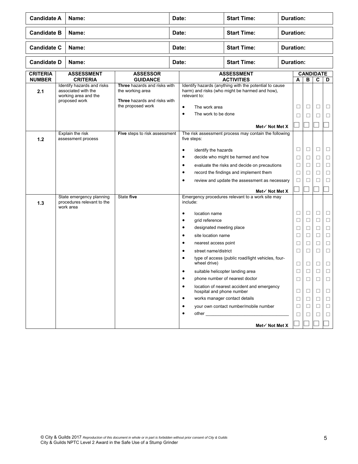| <b>Candidate A</b><br>Name:      |                                      |                                                                                            | Date:                                                                                                        |       | <b>Start Time:</b>                                                             | <b>Duration:</b>                                                                                         |                  |                  |                       |        |             |  |
|----------------------------------|--------------------------------------|--------------------------------------------------------------------------------------------|--------------------------------------------------------------------------------------------------------------|-------|--------------------------------------------------------------------------------|----------------------------------------------------------------------------------------------------------|------------------|------------------|-----------------------|--------|-------------|--|
| <b>Candidate B</b>               | <b>Start Time:</b><br>Name:<br>Date: |                                                                                            |                                                                                                              |       | <b>Duration:</b>                                                               |                                                                                                          |                  |                  |                       |        |             |  |
| <b>Candidate C</b>               |                                      | Name:                                                                                      |                                                                                                              | Date: |                                                                                | <b>Start Time:</b>                                                                                       |                  | <b>Duration:</b> |                       |        |             |  |
| <b>Candidate D</b>               |                                      | Name:                                                                                      |                                                                                                              | Date: |                                                                                | <b>Start Time:</b>                                                                                       | <b>Duration:</b> |                  |                       |        |             |  |
| <b>CRITERIA</b><br><b>NUMBER</b> |                                      | <b>ASSESSMENT</b><br><b>CRITERIA</b>                                                       | <b>ASSESSOR</b><br><b>GUIDANCE</b>                                                                           |       |                                                                                | <b>ASSESSMENT</b><br><b>ACTIVITIES</b>                                                                   |                  | A                | <b>CANDIDATE</b><br>В | C      | D           |  |
| 2.1                              |                                      | Identify hazards and risks<br>associated with the<br>working area and the<br>proposed work | Three hazards and risks with<br>the working area<br><b>Three</b> hazards and risks with<br>the proposed work |       | relevant to:<br>$\bullet$<br>The work area<br>The work to be done<br>$\bullet$ | Identify hazards (anything with the potential to cause<br>harm) and risks (who might be harmed and how), |                  | □<br>П           | □<br>□                | □<br>□ | □<br>□      |  |
|                                  |                                      |                                                                                            |                                                                                                              |       |                                                                                | Met $\checkmark$ Not Met X                                                                               |                  |                  |                       |        |             |  |
| 1.2                              |                                      | Explain the risk<br>assessment process                                                     | Five steps to risk assessment                                                                                |       | five steps:                                                                    | The risk assessment process may contain the following                                                    |                  |                  |                       |        |             |  |
|                                  |                                      |                                                                                            |                                                                                                              |       | identify the hazards<br>٠<br>٠                                                 | decide who might be harmed and how                                                                       |                  | □                | □                     | □      | □           |  |
|                                  |                                      |                                                                                            |                                                                                                              |       | ٠                                                                              | evaluate the risks and decide on precautions                                                             |                  | □<br>□           | □<br>П                | □<br>□ | □<br>□      |  |
|                                  |                                      |                                                                                            |                                                                                                              |       | ٠                                                                              | record the findings and implement them                                                                   |                  | □                | П                     | ⊔      | □           |  |
|                                  |                                      |                                                                                            |                                                                                                              |       | $\bullet$                                                                      | review and update the assessment as necessary                                                            |                  | ⊔                | ⊔                     |        | □           |  |
|                                  |                                      |                                                                                            |                                                                                                              |       |                                                                                | Met $\checkmark$ Not Met X                                                                               |                  |                  |                       |        |             |  |
| 1.3                              |                                      | State emergency planning<br>procedures relevant to the<br>work area                        | State five                                                                                                   |       | include:                                                                       | Emergency procedures relevant to a work site may                                                         |                  |                  |                       |        |             |  |
|                                  |                                      |                                                                                            |                                                                                                              |       | location name<br>$\bullet$                                                     |                                                                                                          |                  | □                | $\Box$                | $\Box$ | □           |  |
|                                  |                                      |                                                                                            |                                                                                                              |       | grid reference<br>٠<br>designated meeting place<br>٠                           |                                                                                                          |                  | ⊔                | □                     | □      | □           |  |
|                                  |                                      |                                                                                            |                                                                                                              |       | site location name<br>$\bullet$                                                |                                                                                                          |                  | ⊔<br>□           | □<br>□                | □<br>□ | □<br>$\Box$ |  |
|                                  |                                      |                                                                                            |                                                                                                              |       | nearest access point<br>٠                                                      |                                                                                                          |                  | ⊔                | □                     | □      | □           |  |
|                                  |                                      |                                                                                            |                                                                                                              |       | street name/district<br>٠                                                      |                                                                                                          |                  | □                | □                     | □      | □           |  |
|                                  |                                      |                                                                                            |                                                                                                              |       | wheel drive)                                                                   | type of access (public road/light vehicles, four-                                                        |                  | ⊔                | □                     | □      | □           |  |
|                                  |                                      |                                                                                            |                                                                                                              |       | ٠                                                                              | suitable helicopter landing area                                                                         |                  | П                | $\Box$                |        |             |  |
|                                  |                                      |                                                                                            |                                                                                                              |       | $\bullet$                                                                      | phone number of nearest doctor                                                                           |                  | $\Box$           | $\Box$                | $\Box$ | □           |  |
|                                  |                                      |                                                                                            |                                                                                                              |       | ٠<br>hospital and phone number                                                 | location of nearest accident and emergency                                                               |                  | □                | □                     | □      | ⊔           |  |
|                                  |                                      |                                                                                            |                                                                                                              |       | ٠                                                                              | works manager contact details                                                                            |                  | □                | □                     | □      | □           |  |
|                                  |                                      |                                                                                            |                                                                                                              |       | $\bullet$<br>٠                                                                 | your own contact number/mobile number                                                                    |                  | П                | □                     | □      | □           |  |
|                                  |                                      |                                                                                            |                                                                                                              |       |                                                                                |                                                                                                          |                  | ⊔                | ⊔                     | ⊔      | □           |  |
|                                  |                                      |                                                                                            |                                                                                                              |       |                                                                                | Met√ Not Met X                                                                                           |                  |                  |                       |        |             |  |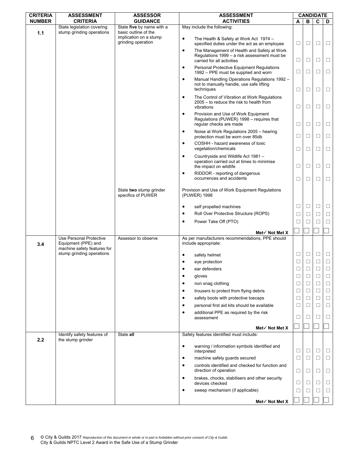| <b>CRITERIA</b> | <b>ASSESSMENT</b>                                       | <b>ASSESSOR</b>                                   |                                          | <b>ASSESSMENT</b>                                                                           |        | <b>CANDIDATE</b> |        |             |
|-----------------|---------------------------------------------------------|---------------------------------------------------|------------------------------------------|---------------------------------------------------------------------------------------------|--------|------------------|--------|-------------|
| <b>NUMBER</b>   | <b>CRITERIA</b>                                         | <b>GUIDANCE</b>                                   |                                          | <b>ACTIVITIES</b>                                                                           | A      | в                | C      | D           |
| 1.1             | State legislation covering<br>stump grinding operations | State five by name with a<br>basic outline of the | May include the following:               |                                                                                             |        |                  |        |             |
|                 |                                                         | implication on a stump<br>grinding operation      | $\bullet$                                | The Health & Safety at Work Act 1974 -<br>specified duties under the act as an employee     | Ц      | □                | □      | $\Box$      |
|                 |                                                         |                                                   | $\bullet$<br>carried for all activities  | The Management of Health and Safety at Work<br>Regulations 1999 - a risk assessment must be | $\Box$ | □                | □      | $\Box$      |
|                 |                                                         |                                                   | $\bullet$                                | Personal Protective Equipment Regulations<br>1992 - PPE must be supplied and worn           | □      | ⊔                | □      | □           |
|                 |                                                         |                                                   | $\bullet$<br>techniques                  | Manual Handling Operations Regulations 1992 -<br>not to manually handle, use safe lifting   | $\Box$ | □                | □      | □           |
|                 |                                                         |                                                   | $\bullet$<br>vibrations                  | The Control of Vibration at Work Regulations<br>2005 – to reduce the risk to health from    | □      | ⊔                | □      | $\Box$      |
|                 |                                                         |                                                   | $\bullet$<br>regular checks are made     | Provision and Use of Work Equipment<br>Regulations (PUWER) 1998 - requires that             | □      | ⊔                | □      | □           |
|                 |                                                         |                                                   | $\bullet$                                | Noise at Work Regulations 2005 - hearing<br>protection must be worn over 85db               | $\Box$ | □                | $\Box$ | $\Box$      |
|                 |                                                         |                                                   | $\bullet$<br>vegetation/chemicals        | COSHH - hazard awareness of toxic                                                           | □      | ⊔                | □      | □           |
|                 |                                                         |                                                   | $\bullet$<br>the impact on wildlife      | Countryside and Wildlife Act 1981 -<br>operation carried out at times to minimise           | □      | □                | □      | □           |
|                 |                                                         |                                                   | $\bullet$<br>occurrences and accidents   | RIDDOR - reporting of dangerous                                                             | □      | ⊔                | □      | $\Box$      |
|                 |                                                         | State two stump grinder<br>specifics of PUWER     | (PUWER) 1998                             | Provision and Use of Work Equipment Regulations                                             |        |                  |        |             |
|                 |                                                         |                                                   | $\bullet$<br>self propelled machines     |                                                                                             | $\Box$ | □                | $\Box$ | $\Box$      |
|                 |                                                         |                                                   | $\bullet$                                | Roll Over Protective Structure (ROPS)                                                       | $\Box$ | □                | □      | $\Box$      |
|                 |                                                         |                                                   | $\bullet$<br>Power Take Off (PTO)        |                                                                                             | $\Box$ | □                | □      | $\Box$      |
|                 |                                                         |                                                   |                                          |                                                                                             |        |                  |        |             |
|                 | <b>Use Personal Protective</b>                          | Assessor to observe                               |                                          | Met√ Not Met X<br>As per manufacturers recommendations, PPE should                          |        |                  |        |             |
| 3.4             | Equipment (PPE) and<br>machine safety features for      |                                                   | include appropriate:                     |                                                                                             |        |                  |        |             |
|                 | stump grinding operations                               |                                                   | safety helmet<br>$\bullet$               |                                                                                             | ⊔      | ப                | □      | $\Box$      |
|                 |                                                         |                                                   | eye protection                           |                                                                                             | ⊔      | ⊔                | □      | □           |
|                 |                                                         |                                                   | ear defenders                            |                                                                                             | $\Box$ | □                | □      | $\Box$      |
|                 |                                                         |                                                   | $\bullet$<br>gloves<br>$\bullet$         |                                                                                             | □      | П                | ⊔<br>□ | $\Box$<br>□ |
|                 |                                                         |                                                   | non snag clothing<br>$\bullet$           | trousers to protect from flying debris                                                      | □      | □                | $\Box$ | □           |
|                 |                                                         |                                                   | $\bullet$                                | safety boots with protective toecaps                                                        | □      | □                | □      | □           |
|                 |                                                         |                                                   | $\bullet$                                | personal first aid kits should be available                                                 | □      | ⊔                | □      | $\Box$      |
|                 |                                                         |                                                   | $\bullet$                                | additional PPE as required by the risk                                                      |        |                  |        |             |
|                 |                                                         |                                                   | assessment                               |                                                                                             | □      | ⊔                | □      | $\Box$      |
|                 |                                                         |                                                   |                                          | Met√ Not Met X                                                                              |        |                  |        |             |
| 2.2             | Identify safety features of<br>the stump grinder        | State all                                         | Safety features identified must include: |                                                                                             |        |                  |        |             |
|                 |                                                         |                                                   | $\bullet$<br>interpreted                 | warning / information symbols identified and                                                | □      | □                | □      | $\Box$      |
|                 |                                                         |                                                   | $\bullet$                                | machine safety guards secured                                                               | □      | □                | □      | □           |
|                 |                                                         |                                                   | $\bullet$<br>direction of operation      | controls identified and checked for function and                                            | □      | □                | □      | □           |
|                 |                                                         |                                                   | $\bullet$<br>devices checked             | brakes, chocks, stabilisers and other security                                              | □      | $\Box$           | □      | □           |
|                 |                                                         |                                                   | $\bullet$                                | sweep mechanism (if applicable)                                                             | □      | П                | □      | □           |
|                 |                                                         |                                                   |                                          |                                                                                             |        |                  |        |             |
|                 |                                                         |                                                   |                                          | Met√ Not Met X                                                                              |        |                  |        |             |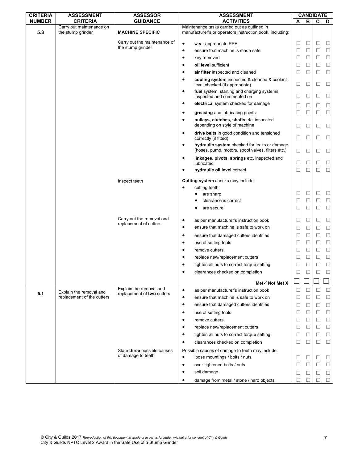| <b>CRITERIA</b> | <b>ASSESSMENT</b>                             | <b>ASSESSOR</b>                                       | <b>ASSESSMENT</b>                                                                                              |              |        | <b>CANDIDATE</b> |        |
|-----------------|-----------------------------------------------|-------------------------------------------------------|----------------------------------------------------------------------------------------------------------------|--------------|--------|------------------|--------|
| <b>NUMBER</b>   | <b>CRITERIA</b>                               | <b>GUIDANCE</b>                                       | <b>ACTIVITIES</b>                                                                                              | A            | в      | C                | D      |
| 5.3             | Carry out maintenance on<br>the stump grinder | <b>MACHINE SPECIFIC</b>                               | Maintenance tasks carried out as outlined in<br>manufacturer's or operators instruction book, including:       |              |        |                  |        |
|                 |                                               | Carry out the maintenance of                          | $\bullet$<br>wear appropriate PPE                                                                              | □            | □      | □                | □      |
|                 |                                               | the stump grinder                                     | ensure that machine is made safe<br>$\bullet$                                                                  | □            | $\Box$ | □                | □      |
|                 |                                               |                                                       | $\bullet$<br>key removed                                                                                       | □            | □      | □                | □      |
|                 |                                               |                                                       | oil level sufficient<br>٠                                                                                      | □            | □      | □                | $\Box$ |
|                 |                                               |                                                       | air filter inspected and cleaned<br>$\bullet$                                                                  | □            | □      | □                | □      |
|                 |                                               |                                                       | cooling system inspected & cleaned & coolant<br>$\bullet$<br>level checked (if appropriate)                    | □            | □      | □                | □      |
|                 |                                               |                                                       | fuel system, starting and charging systems<br>٠<br>inspected and commented on                                  | □            | $\Box$ | □                | □      |
|                 |                                               |                                                       | electrical system checked for damage<br>٠                                                                      | □            | □      | □                | □      |
|                 |                                               |                                                       | greasing and lubricating points<br>٠                                                                           | ⊔            | ⊔      | □                | □      |
|                 |                                               |                                                       | pulleys, clutches, shafts etc. inspected<br>$\bullet$<br>depending on style of machine                         | □            | □      | □                | □      |
|                 |                                               |                                                       | drive belts in good condition and tensioned<br>$\bullet$<br>correctly (if fitted)                              | ⊔            | ⊔      | ⊔                | ⊔      |
|                 |                                               |                                                       | hydraulic system checked for leaks or damage<br>$\bullet$<br>(hoses, pump, motors, spool valves, filters etc.) | $\Box$       | □      | □                | □      |
|                 |                                               |                                                       | linkages, pivots, springs etc. inspected and<br>٠<br>lubricated                                                | □            | □      | □                | □      |
|                 |                                               |                                                       | hydraulic oil level correct<br>٠                                                                               | $\Box$       | $\Box$ | П                | $\Box$ |
|                 |                                               | Inspect teeth                                         | Cutting system checks may include:                                                                             |              |        |                  |        |
|                 |                                               |                                                       | cutting teeth:                                                                                                 |              |        |                  |        |
|                 |                                               |                                                       | are sharp                                                                                                      | □            | □      | □                | □      |
|                 |                                               |                                                       | clearance is correct                                                                                           | □            | □      | □                | $\Box$ |
|                 |                                               |                                                       | are secure                                                                                                     | □            | ⊔      | □                | □      |
|                 |                                               | Carry out the removal and                             | as per manufacturer's instruction book<br>$\bullet$                                                            | □            | □      | □                | $\Box$ |
|                 |                                               | replacement of cutters                                | ensure that machine is safe to work on<br>٠                                                                    | □            | □      | □                | □      |
|                 |                                               |                                                       | ٠                                                                                                              | □            | □      | $\Box$           | $\Box$ |
|                 |                                               |                                                       | ensure that damaged cutters identified<br>use of setting tools<br>٠                                            | □            | □      | □                | $\Box$ |
|                 |                                               |                                                       | remove cutters<br>$\bullet$                                                                                    | □            | □      | □                | $\Box$ |
|                 |                                               |                                                       | replace new/replacement cutters<br>٠                                                                           | □            | □      | □                | $\Box$ |
|                 |                                               |                                                       | tighten all nuts to correct torque setting                                                                     | □            | $\Box$ | □                | $\Box$ |
|                 |                                               |                                                       |                                                                                                                | $\Box$       | $\Box$ | $\Box$           | $\Box$ |
|                 |                                               |                                                       | clearances checked on completion                                                                               |              |        |                  |        |
|                 |                                               |                                                       | Met $\checkmark$ Not Met X                                                                                     |              |        |                  |        |
| 5.1             | Explain the removal and                       | Explain the removal and<br>replacement of two cutters | $\bullet$<br>as per manufacturer's instruction book                                                            | □            | □      | ⊔                | □      |
|                 | replacement of the cutters                    |                                                       | ensure that machine is safe to work on<br>$\bullet$                                                            | □            | □      | □                | □      |
|                 |                                               |                                                       | ensure that damaged cutters identified<br>$\bullet$                                                            | □            | $\Box$ | □                | $\Box$ |
|                 |                                               |                                                       | use of setting tools<br>٠                                                                                      | □            | $\Box$ | □                | $\Box$ |
|                 |                                               |                                                       | remove cutters<br>٠                                                                                            | □            | $\Box$ | $\Box$           | $\Box$ |
|                 |                                               |                                                       | replace new/replacement cutters<br>٠                                                                           | □            | $\Box$ | □                | $\Box$ |
|                 |                                               |                                                       | tighten all nuts to correct torque setting<br>٠                                                                | □            | □      | □                | □      |
|                 |                                               |                                                       | clearances checked on completion<br>٠                                                                          | □            | □      | □                | □      |
|                 |                                               | State three possible causes                           | Possible causes of damage to teeth may include:                                                                |              |        |                  |        |
|                 |                                               | of damage to teeth                                    | $\bullet$<br>loose mountings / bolts / nuts                                                                    | □            | □      | $\Box$           | □      |
|                 |                                               |                                                       | over-tightened bolts / nuts<br>$\bullet$                                                                       | □            | □      | □                | $\Box$ |
|                 |                                               |                                                       | $\bullet$<br>soil damage                                                                                       | ⊔            | □      | □                | □      |
|                 |                                               |                                                       | damage from metal / stone / hard objects<br>٠                                                                  | $\mathbf{1}$ |        |                  |        |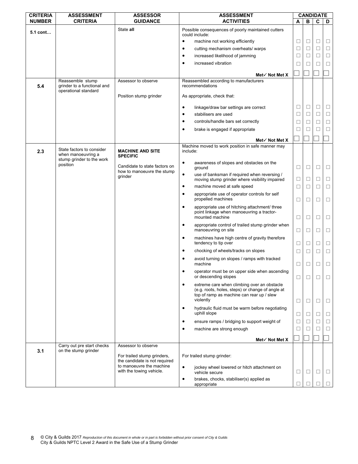| <b>CRITERIA</b> | <b>ASSESSMENT</b>                               | <b>ASSESSOR</b>                                              | <b>ASSESSMENT</b>                                                                                                                                              |        | <b>CANDIDATE</b> |   |        |
|-----------------|-------------------------------------------------|--------------------------------------------------------------|----------------------------------------------------------------------------------------------------------------------------------------------------------------|--------|------------------|---|--------|
| <b>NUMBER</b>   | <b>CRITERIA</b>                                 | <b>GUIDANCE</b>                                              | <b>ACTIVITIES</b>                                                                                                                                              | A      | в                | C | D      |
| 5.1 cont        |                                                 | State all                                                    | Possible consequences of poorly maintained cutters<br>could include:                                                                                           |        |                  |   |        |
|                 |                                                 |                                                              | machine not working efficiently<br>$\bullet$                                                                                                                   | □      | $\Box$           | □ | □      |
|                 |                                                 |                                                              | cutting mechanism overheats/ warps<br>٠                                                                                                                        | $\Box$ | □                | □ | $\Box$ |
|                 |                                                 |                                                              | increased likelihood of jamming<br>$\bullet$                                                                                                                   | □      | □                | □ | $\Box$ |
|                 |                                                 |                                                              | increased vibration                                                                                                                                            | $\Box$ | □                | □ | □      |
|                 |                                                 |                                                              | Met $\checkmark$ Not Met X                                                                                                                                     |        |                  |   |        |
| 5.4             | Reassemble stump<br>grinder to a functional and | Assessor to observe                                          | Reassembled according to manufacturers<br>recommendations                                                                                                      |        |                  |   |        |
|                 | operational standard                            | Position stump grinder                                       | As appropriate, check that:                                                                                                                                    |        |                  |   |        |
|                 |                                                 |                                                              | linkage/draw bar settings are correct<br>$\bullet$                                                                                                             | □      | $\Box$           | □ | □      |
|                 |                                                 |                                                              | stabilisers are used<br>٠                                                                                                                                      | □      | □                | □ | □      |
|                 |                                                 |                                                              | controls/handle bars set correctly<br>٠                                                                                                                        | $\Box$ | □                | □ | $\Box$ |
|                 |                                                 |                                                              | brake is engaged if appropriate<br>$\bullet$                                                                                                                   | $\Box$ | ⊔                | □ | $\Box$ |
|                 |                                                 |                                                              | Met $\checkmark$ Not Met X                                                                                                                                     |        |                  |   |        |
|                 | State factors to consider                       |                                                              | Machine moved to work position in safe manner may                                                                                                              |        |                  |   |        |
| 2.3             | when manoeuvring a<br>stump grinder to the work | <b>MACHINE AND SITE</b><br><b>SPECIFIC</b>                   | include:                                                                                                                                                       |        |                  |   |        |
|                 | position                                        | Candidate to state factors on                                | awareness of slopes and obstacles on the<br>$\bullet$<br>around                                                                                                | □      | □                | □ | □      |
|                 |                                                 | how to manoeuvre the stump<br>grinder                        | $\bullet$<br>use of banksman if required when reversing /<br>moving stump grinder where visibility impaired                                                    | □      | □                | □ | □      |
|                 |                                                 |                                                              | machine moved at safe speed<br>٠                                                                                                                               | □      | □                | □ | □      |
|                 |                                                 |                                                              | appropriate use of operator controls for self<br>٠<br>propelled machines                                                                                       | □      | □                | □ | □      |
|                 |                                                 |                                                              | appropriate use of hitching attachment/ three<br>$\bullet$<br>point linkage when manoeuvring a tractor-<br>mounted machine                                     | $\Box$ | □                | □ | □      |
|                 |                                                 |                                                              | appropriate control of trailed stump grinder when<br>٠<br>manoeuvring on site                                                                                  | □      | □                | ⊔ | □      |
|                 |                                                 |                                                              | machines have high centre of gravity therefore<br>$\bullet$<br>tendency to tip over                                                                            | □      | □                | □ | $\Box$ |
|                 |                                                 |                                                              | chocking of wheels/tracks on slopes<br>$\bullet$                                                                                                               | □      | □                | □ | □      |
|                 |                                                 |                                                              | avoid turning on slopes / ramps with tracked<br>٠<br>machine                                                                                                   | □      | □                | □ | □      |
|                 |                                                 |                                                              | operator must be on upper side when ascending<br>٠<br>or descending slopes                                                                                     | $\Box$ | □                | □ | □      |
|                 |                                                 |                                                              | extreme care when climbing over an obstacle<br>٠<br>(e.g. roots, holes, steps) or change of angle at<br>top of ramp as machine can rear up / slew<br>violently | □      | □                | ⊔ | ⊔      |
|                 |                                                 |                                                              | hydraulic fluid must be warm before negotiating<br>$\bullet$<br>uphill slope                                                                                   | □      | □                | □ | □      |
|                 |                                                 |                                                              | ensure ramps / bridging to support weight of<br>٠                                                                                                              | □      | $\mathsf{L}$     | П | □      |
|                 |                                                 |                                                              | machine are strong enough<br>٠                                                                                                                                 | $\Box$ | □                | ⊔ | □      |
|                 |                                                 |                                                              | Met√ Not Met X                                                                                                                                                 |        |                  |   |        |
|                 | Carry out pre start checks                      | Assessor to observe                                          |                                                                                                                                                                |        |                  |   |        |
| 3.1             | on the stump grinder                            | For trailed stump grinders,<br>the candidate is not required | For trailed stump grinder:                                                                                                                                     |        |                  |   |        |
|                 |                                                 | to manoeuvre the machine<br>with the towing vehicle.         | $\bullet$<br>jockey wheel lowered or hitch attachment on<br>vehicle secure                                                                                     | $\Box$ | □                | □ | $\Box$ |
|                 |                                                 |                                                              | brakes, chocks, stabiliser(s) applied as<br>٠<br>appropriate                                                                                                   | □      |                  |   | □      |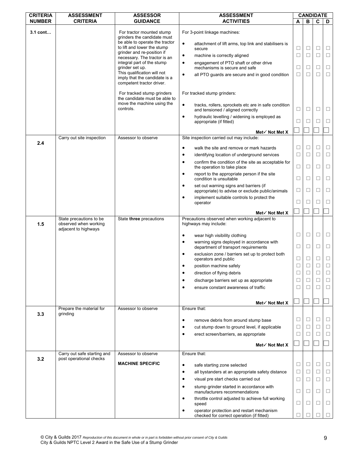| <b>CRITERIA</b> | <b>ASSESSMENT</b>                                                        | <b>ASSESSOR</b>                                                                            | <b>ASSESSMENT</b>                                                                                       |             | <b>CANDIDATE</b> |        |                  |
|-----------------|--------------------------------------------------------------------------|--------------------------------------------------------------------------------------------|---------------------------------------------------------------------------------------------------------|-------------|------------------|--------|------------------|
| <b>NUMBER</b>   | <b>CRITERIA</b>                                                          | <b>GUIDANCE</b>                                                                            | <b>ACTIVITIES</b>                                                                                       | A           | в                | C      | D                |
| 3.1 cont        |                                                                          | For tractor mounted stump<br>grinders the candidate must<br>be able to operate the tractor | For 3-point linkage machines:<br>$\bullet$<br>attachment of lift arms, top link and stabilisers is      |             |                  |        |                  |
|                 |                                                                          | to lift and lower the stump<br>grinder and re-position if                                  | secure                                                                                                  | □           | $\Box$           | □      | □                |
|                 |                                                                          | necessary. The tractor is an                                                               | $\bullet$<br>machine is correctly aligned                                                               | □           | $\Box$           | □      | □                |
|                 |                                                                          | integral part of the stump<br>grinder set up.                                              | engagement of PTO shaft or other drive<br>$\bullet$<br>mechanisms is secure and safe                    | □           | □                | □      | □                |
|                 |                                                                          | This qualification will not<br>imply that the candidate is a<br>competent tractor driver.  | $\bullet$<br>all PTO guards are secure and in good condition                                            | □           | □                | □      | □                |
|                 |                                                                          | For tracked stump grinders<br>the candidate must be able to<br>move the machine using the  | For tracked stump grinders:                                                                             |             |                  |        |                  |
|                 |                                                                          | controls.                                                                                  | $\bullet$<br>tracks, rollers, sprockets etc are in safe condition<br>and tensioned / aligned correctly  | $\Box$      | $\Box$           | □      | □                |
|                 |                                                                          |                                                                                            | hydraulic levelling / widening is employed as<br>$\bullet$<br>appropriate (if fitted)                   | □           | □                | □      | $\Box$           |
|                 |                                                                          |                                                                                            | Met $\checkmark$ Not Met X                                                                              |             |                  |        |                  |
|                 | Carry out site inspection                                                | Assessor to observe                                                                        | Site inspection carried out may include:                                                                |             |                  |        |                  |
| 2.4             |                                                                          |                                                                                            | $\bullet$<br>walk the site and remove or mark hazards                                                   | □           | $\Box$           | □      | □                |
|                 |                                                                          |                                                                                            | identifying location of underground services<br>$\bullet$                                               | $\Box$      | $\Box$           | $\Box$ | $\Box$           |
|                 |                                                                          |                                                                                            | confirm the condition of the site as acceptable for<br>$\bullet$<br>the operation to take place         | $\Box$      | $\Box$           | □      | □                |
|                 |                                                                          |                                                                                            | report to the appropriate person if the site<br>$\bullet$<br>condition is unsuitable                    | $\Box$      | □                | □      | $\Box$           |
|                 |                                                                          |                                                                                            | set out warning signs and barriers (if<br>$\bullet$<br>appropriate) to advise or exclude public/animals | □           | □                | □      | □                |
|                 |                                                                          |                                                                                            | implement suitable controls to protect the<br>$\bullet$<br>operator                                     | □           | □                | □      | □                |
|                 |                                                                          |                                                                                            | Met $\checkmark$ Not Met X                                                                              |             |                  |        |                  |
| 1.5             | State precautions to be<br>observed when working<br>adjacent to highways | State three precautions                                                                    | Precautions observed when working adjacent to<br>highways may include:                                  |             |                  |        |                  |
|                 |                                                                          |                                                                                            | $\bullet$<br>wear high visibility clothing<br>warning signs deployed in accordance with<br>$\bullet$    | □           | $\Box$           | □      | □                |
|                 |                                                                          |                                                                                            | department of transport requirements<br>exclusion zone / barriers set up to protect both<br>$\bullet$   | $\Box$      | $\Box$           | □      | □                |
|                 |                                                                          |                                                                                            | operators and public<br>position machine safely<br>٠                                                    | □<br>$\Box$ | $\Box$<br>$\Box$ | □<br>□ | $\Box$<br>$\Box$ |
|                 |                                                                          |                                                                                            | direction of flying debris                                                                              | $\Box$      | $\Box$           |        | $\Box$           |
|                 |                                                                          |                                                                                            | $\bullet$<br>discharge barriers set up as appropriate                                                   | □           | □                | ⊔      | □                |
|                 |                                                                          |                                                                                            | ensure constant awareness of traffic<br>$\bullet$                                                       | П           | □                | □      | $\Box$           |
|                 |                                                                          |                                                                                            |                                                                                                         |             |                  |        |                  |
|                 | Prepare the material for                                                 | Assessor to observe                                                                        | Met√ Not Met X<br>Ensure that:                                                                          |             |                  |        |                  |
| 3.3             | grinding                                                                 |                                                                                            |                                                                                                         |             |                  |        |                  |
|                 |                                                                          |                                                                                            | remove debris from around stump base<br>$\bullet$                                                       | □           | $\Box$           | □      | □                |
|                 |                                                                          |                                                                                            | cut stump down to ground level, if applicable<br>$\bullet$                                              | □           | □                | □      | □                |
|                 |                                                                          |                                                                                            | $\bullet$<br>erect screen/barriers, as appropriate                                                      | □           | □                | П      | $\Box$           |
|                 |                                                                          |                                                                                            | Met√ Not Met X                                                                                          |             |                  |        |                  |
| 3.2             | Carry out safe starting and<br>post operational checks                   | Assessor to observe                                                                        | Ensure that:                                                                                            |             |                  |        |                  |
|                 |                                                                          | <b>MACHINE SPECIFIC</b>                                                                    | $\bullet$<br>safe starting zone selected                                                                | □           | $\Box$           | ⊔      | ⊔                |
|                 |                                                                          |                                                                                            | all bystanders at an appropriate safety distance<br>$\bullet$                                           | □           | □                | □      | □                |
|                 |                                                                          |                                                                                            | visual pre start checks carried out<br>٠                                                                | □           | □                | □      | □                |
|                 |                                                                          |                                                                                            | stump grinder started in accordance with<br>$\bullet$<br>manufacturers recommendations                  | □           | □                | □      | □                |
|                 |                                                                          |                                                                                            | throttle control adjusted to achieve full working<br>٠<br>speed                                         | □           | □                | ⊔      | □                |
|                 |                                                                          |                                                                                            | operator protection and restart mechanism<br>$\bullet$<br>checked for correct operation (if fitted)     |             |                  |        |                  |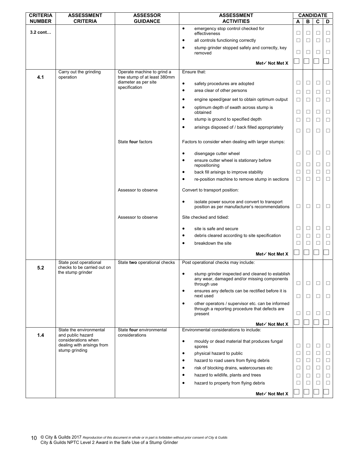| <b>CRITERIA</b> | <b>ASSESSMENT</b>                                                      | <b>ASSESSOR</b>                                      | <b>ASSESSMENT</b>                                                                                                   |        |        | <b>CANDIDATE</b> |        |
|-----------------|------------------------------------------------------------------------|------------------------------------------------------|---------------------------------------------------------------------------------------------------------------------|--------|--------|------------------|--------|
| <b>NUMBER</b>   | <b>CRITERIA</b>                                                        | <b>GUIDANCE</b>                                      | <b>ACTIVITIES</b>                                                                                                   | A      | в      | C                | D      |
| 3.2 cont        |                                                                        |                                                      | $\bullet$<br>emergency stop control checked for<br>effectiveness                                                    | ⊔      | □      | □                | ⊔      |
|                 |                                                                        |                                                      | all controls functioning correctly<br>٠                                                                             | $\Box$ | ⊔      | □                | □      |
|                 |                                                                        |                                                      | stump grinder stopped safely and correctly, key<br>٠<br>removed                                                     | □      | □      | □                | □      |
|                 |                                                                        |                                                      | Met√ Not Met X                                                                                                      |        |        |                  |        |
|                 | Carry out the grinding                                                 | Operate machine to grind a                           | Ensure that:                                                                                                        |        |        |                  |        |
| 4.1             | operation                                                              | tree stump of at least 380mm<br>diameter as per site | $\bullet$<br>safety procedures are adopted                                                                          | □      | □      | □                | □      |
|                 |                                                                        | specification                                        | area clear of other persons<br>$\bullet$                                                                            |        |        |                  | $\Box$ |
|                 |                                                                        |                                                      | engine speed/gear set to obtain optimum output<br>٠                                                                 | □      | □      | □                |        |
|                 |                                                                        |                                                      |                                                                                                                     | □      | ⊔      | ⊔                | ⊔      |
|                 |                                                                        |                                                      | optimum depth of swath across stump is<br>٠<br>obtained                                                             | □      | □      | □                | □      |
|                 |                                                                        |                                                      | stump is ground to specified depth<br>٠                                                                             | $\Box$ | □      | □                | $\Box$ |
|                 |                                                                        |                                                      | arisings disposed of / back filled appropriately<br>٠                                                               | □      | □      | □                | □      |
|                 |                                                                        | State four factors                                   | Factors to consider when dealing with larger stumps:                                                                |        |        |                  |        |
|                 |                                                                        |                                                      | disengage cutter wheel<br>$\bullet$                                                                                 | □      | □      | □                | □      |
|                 |                                                                        |                                                      | ensure cutter wheel is stationary before<br>٠                                                                       |        |        |                  |        |
|                 |                                                                        |                                                      | repositioning                                                                                                       | □      | □      | □                | □      |
|                 |                                                                        |                                                      | back fill arisings to improve stability<br>٠                                                                        | □      | □      | П                | □      |
|                 |                                                                        |                                                      | re-position machine to remove stump in sections<br>$\bullet$                                                        | $\Box$ | □      | □                | □      |
|                 |                                                                        | Assessor to observe                                  | Convert to transport position:                                                                                      |        |        |                  |        |
|                 |                                                                        |                                                      | isolate power source and convert to transport<br>$\bullet$<br>position as per manufacturer's recommendations        | □      | □      | □                | □      |
|                 |                                                                        | Assessor to observe                                  | Site checked and tidied:                                                                                            |        |        |                  |        |
|                 |                                                                        |                                                      | site is safe and secure<br>$\bullet$                                                                                | □      | □      | □                | ⊔      |
|                 |                                                                        |                                                      | debris cleared according to site specification<br>٠                                                                 | $\Box$ | □      | □                | □      |
|                 |                                                                        |                                                      | breakdown the site<br>$\bullet$                                                                                     | $\Box$ | ⊔      | □                | $\Box$ |
|                 |                                                                        |                                                      | Met√ Not Met X                                                                                                      |        |        |                  |        |
| 5.2             | State post operational<br>checks to be carried out on                  | State two operational checks                         | Post operational checks may include:                                                                                |        |        |                  |        |
|                 | the stump grinder                                                      |                                                      | stump grinder inspected and cleaned to establish<br>٠<br>any wear, damaged and/or missing components<br>through use | $\Box$ | □      | □                | □      |
|                 |                                                                        |                                                      | ensures any defects can be rectified before it is<br>$\bullet$<br>next used                                         |        |        |                  |        |
|                 |                                                                        |                                                      | other operators / supervisor etc. can be informed<br>٠                                                              | □      | $\Box$ | □                | □      |
|                 |                                                                        |                                                      | through a reporting procedure that defects are<br>present                                                           | □      | □      | □                | □      |
|                 |                                                                        |                                                      | Met√ Not Met X                                                                                                      |        |        |                  |        |
|                 | State the environmental                                                | State four environmental                             | Environmental considerations to include:                                                                            |        |        |                  |        |
| 1.4             | and public hazard<br>considerations when<br>dealing with arisings from | considerations                                       | $\bullet$<br>mouldy or dead material that produces fungal                                                           |        |        |                  |        |
|                 | stump grinding                                                         |                                                      | spores                                                                                                              | ⊔      | ⊔      | ⊔                | ⊔      |
|                 |                                                                        |                                                      | physical hazard to public<br>٠<br>hazard to road users from flying debris<br>٠                                      | □<br>□ | □<br>□ | □<br>□           | □<br>□ |
|                 |                                                                        |                                                      | risk of blocking drains, watercourses etc<br>٠                                                                      | $\Box$ | ⊔      | □                | $\Box$ |
|                 |                                                                        |                                                      | hazard to wildlife, plants and trees<br>$\bullet$                                                                   | □      | П      | П                | □      |
|                 |                                                                        |                                                      | hazard to property from flying debris<br>$\bullet$                                                                  | □      | ⊔      | □                | $\Box$ |
|                 |                                                                        |                                                      |                                                                                                                     |        |        |                  |        |
|                 |                                                                        |                                                      | Met√ Not Met X                                                                                                      |        |        |                  |        |